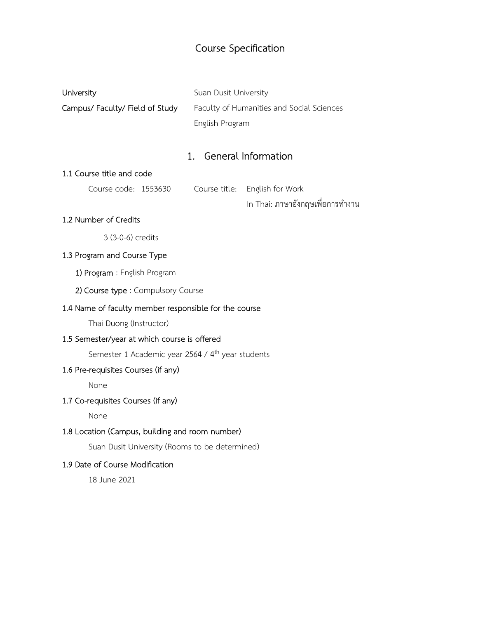# Course Specification

| University                    | Suan Dusit University                     |
|-------------------------------|-------------------------------------------|
| Campus/Faculty/Field of Study | Faculty of Humanities and Social Sciences |
|                               | English Program                           |

# 1. General Information

## 1.1 Course title and code

| Course code: 1553630 |  | Course title: English for Work   |  |
|----------------------|--|----------------------------------|--|
|                      |  | In Thai: ภาษาอังกฤษเพื่อการทำงาน |  |

## 1.2 Number of Credits

3 (3-0-6) credits

## 1.3 Program and Course Type

1) Program : English Program

2) Course type : Compulsory Course

#### 1.4 Name of faculty member responsible for the course

Thai Duong (Instructor)

#### 1.5 Semester/year at which course is offered

Semester 1 Academic year 2564 / 4<sup>th</sup> year students

#### 1.6 Pre-requisites Courses (if any)

None

## 1.7 Co-requisites Courses (if any)

None

## 1.8 Location (Campus, building and room number)

Suan Dusit University (Rooms to be determined)

#### 1.9 Date of Course Modification

18 June 2021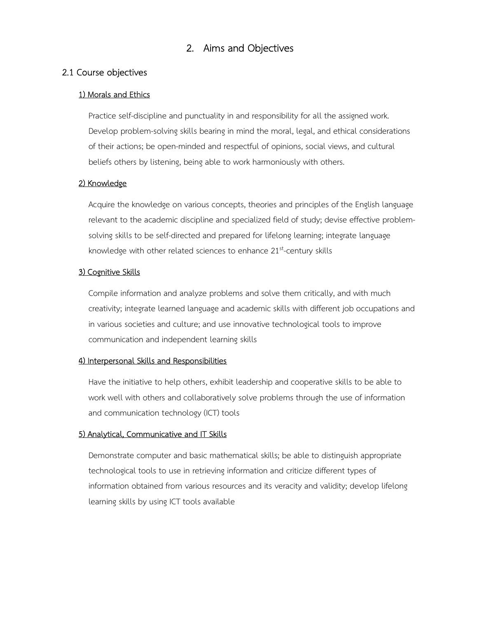# 2. Aims and Objectives

#### 2.1 Course objectives

#### 1) Morals and Ethics

 Practice self-discipline and punctuality in and responsibility for all the assigned work. Develop problem-solving skills bearing in mind the moral, legal, and ethical considerations of their actions; be open-minded and respectful of opinions, social views, and cultural beliefs others by listening, being able to work harmoniously with others.

#### 2) Knowledge

 Acquire the knowledge on various concepts, theories and principles of the English language relevant to the academic discipline and specialized field of study; devise effective problemsolving skills to be self-directed and prepared for lifelong learning; integrate language knowledge with other related sciences to enhance  $21^{st}$ -century skills

#### 3) Cognitive Skills

 Compile information and analyze problems and solve them critically, and with much creativity; integrate learned language and academic skills with different job occupations and in various societies and culture; and use innovative technological tools to improve communication and independent learning skills

#### 4) Interpersonal Skills and Responsibilities

 Have the initiative to help others, exhibit leadership and cooperative skills to be able to work well with others and collaboratively solve problems through the use of information and communication technology (ICT) tools

#### 5) Analytical, Communicative and IT Skills

 Demonstrate computer and basic mathematical skills; be able to distinguish appropriate technological tools to use in retrieving information and criticize different types of information obtained from various resources and its veracity and validity; develop lifelong learning skills by using ICT tools available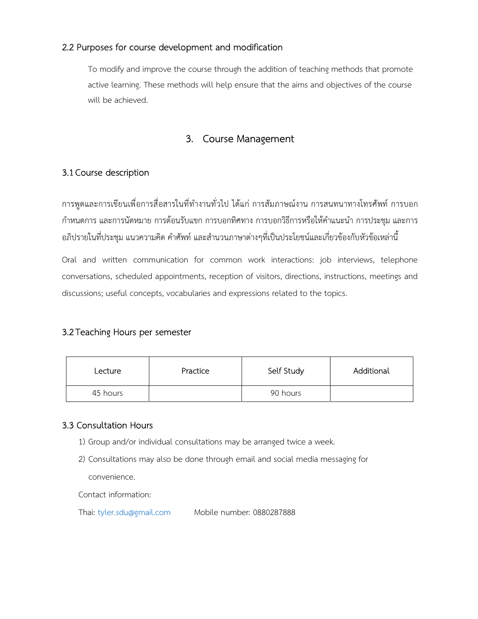## 2.2 Purposes for course development and modification

To modify and improve the course through the addition of teaching methods that promote active learning. These methods will help ensure that the aims and objectives of the course will be achieved.

# 3. Course Management

## 3.1 Course description

การพูดและการเขียนเพื่อการสื่อสารในที่ทำงานทั่วไป ได้แก่ การสัมภาษณ์งาน การสนทนาทางโทรศัพท์ การบอก กำหนดการ และการนัดหมาย การต้อนรับแขก การบอกทิศทาง การบอกวิธีการหรือให้คำแนะนำ การประชุม และการ ้อภิปรายในที่ประชุม แนวความคิด คำศัพท์ และสำนวนภาษาต่างๆที่เป็นประโยชน์และเกี่ยวข้องกับหัวข้อเหล่านี้

Oral and written communication for common work interactions: job interviews, telephone conversations, scheduled appointments, reception of visitors, directions, instructions, meetings and discussions; useful concepts, vocabularies and expressions related to the topics.

## 3.2Teaching Hours per semester

| Lecture  | Practice | Self Study | Additional |
|----------|----------|------------|------------|
| 45 hours |          | 90 hours   |            |

## 3.3 Consultation Hours

- 1) Group and/or individual consultations may be arranged twice a week.
- 2) Consultations may also be done through email and social media messaging for

convenience.

Contact information:

Thai: tyler.sdu@gmail.com Mobile number: 0880287888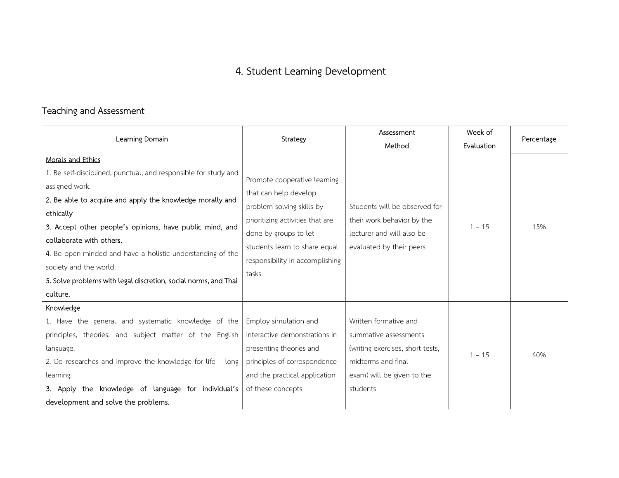# 4. Student Learning Development

# Teaching and Assessment

| Learning Domain                                                                                                                                                                                                                                                                                                                                                                                                            | Strategy                                                                                                                                                                                                                     | Assessment                                                                                                                                         | Week of    | Percentage |
|----------------------------------------------------------------------------------------------------------------------------------------------------------------------------------------------------------------------------------------------------------------------------------------------------------------------------------------------------------------------------------------------------------------------------|------------------------------------------------------------------------------------------------------------------------------------------------------------------------------------------------------------------------------|----------------------------------------------------------------------------------------------------------------------------------------------------|------------|------------|
|                                                                                                                                                                                                                                                                                                                                                                                                                            |                                                                                                                                                                                                                              | Method                                                                                                                                             | Evaluation |            |
| <b>Morals and Ethics</b>                                                                                                                                                                                                                                                                                                                                                                                                   |                                                                                                                                                                                                                              |                                                                                                                                                    |            |            |
| 1. Be self-disciplined, punctual, and responsible for study and<br>assigned work.<br>2. Be able to acquire and apply the knowledge morally and<br>ethically<br>3. Accept other people's opinions, have public mind, and<br>collaborate with others.<br>4. Be open-minded and have a holistic understanding of the<br>society and the world.<br>5. Solve problems with legal discretion, social norms, and Thai<br>culture. | Promote cooperative learning<br>that can help develop<br>problem solving skills by<br>prioritizing activities that are<br>done by groups to let<br>students learn to share equal<br>responsibility in accomplishing<br>tasks | Students will be observed for<br>their work behavior by the<br>lecturer and will also be<br>evaluated by their peers                               | $1 - 15$   | 15%        |
| Knowledge<br>1. Have the general and systematic knowledge of the<br>principles, theories, and subject matter of the English<br>language.<br>2. Do researches and improve the knowledge for life - long<br>learning.<br>3. Apply the knowledge of language for individual's                                                                                                                                                 | Employ simulation and<br>interactive demonstrations in<br>presenting theories and<br>principles of correspondence<br>and the practical application<br>of these concepts                                                      | Written formative and<br>summative assessments<br>(writing exercises, short tests,<br>midterms and final<br>exam) will be given to the<br>students | $1 - 15$   | 40%        |
| development and solve the problems.                                                                                                                                                                                                                                                                                                                                                                                        |                                                                                                                                                                                                                              |                                                                                                                                                    |            |            |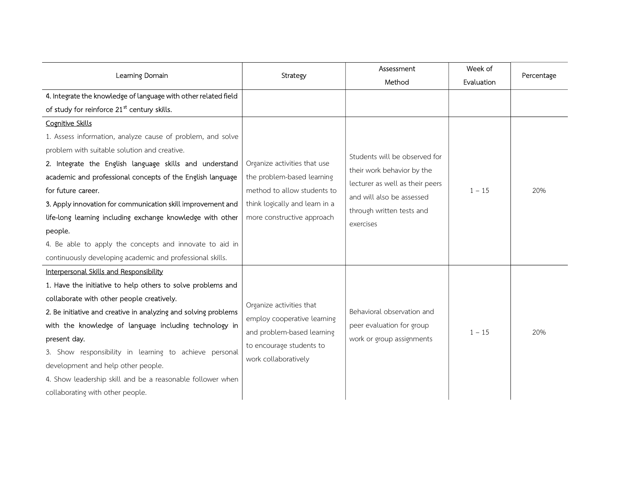|                                                                                                                                                                                                                                                                                                                                                                                                                                                                                                                                                      |                                                                                                                                                           | Assessment                                                                                                                                                            | Week of    |            |
|------------------------------------------------------------------------------------------------------------------------------------------------------------------------------------------------------------------------------------------------------------------------------------------------------------------------------------------------------------------------------------------------------------------------------------------------------------------------------------------------------------------------------------------------------|-----------------------------------------------------------------------------------------------------------------------------------------------------------|-----------------------------------------------------------------------------------------------------------------------------------------------------------------------|------------|------------|
| Learning Domain                                                                                                                                                                                                                                                                                                                                                                                                                                                                                                                                      | Strategy                                                                                                                                                  | Method                                                                                                                                                                | Evaluation | Percentage |
| 4. Integrate the knowledge of language with other related field                                                                                                                                                                                                                                                                                                                                                                                                                                                                                      |                                                                                                                                                           |                                                                                                                                                                       |            |            |
| of study for reinforce 21 <sup>st</sup> century skills.                                                                                                                                                                                                                                                                                                                                                                                                                                                                                              |                                                                                                                                                           |                                                                                                                                                                       |            |            |
| <b>Cognitive Skills</b><br>1. Assess information, analyze cause of problem, and solve<br>problem with suitable solution and creative.<br>2. Integrate the English language skills and understand<br>academic and professional concepts of the English language<br>for future career.<br>3. Apply innovation for communication skill improvement and<br>life-long learning including exchange knowledge with other<br>people.<br>4. Be able to apply the concepts and innovate to aid in<br>continuously developing academic and professional skills. | Organize activities that use<br>the problem-based learning<br>method to allow students to<br>think logically and learn in a<br>more constructive approach | Students will be observed for<br>their work behavior by the<br>lecturer as well as their peers<br>and will also be assessed<br>through written tests and<br>exercises | $1 - 15$   | 20%        |
| Interpersonal Skills and Responsibility<br>1. Have the initiative to help others to solve problems and<br>collaborate with other people creatively.<br>2. Be initiative and creative in analyzing and solving problems<br>with the knowledge of language including technology in<br>present day.<br>3. Show responsibility in learning to achieve personal<br>development and help other people.<br>4. Show leadership skill and be a reasonable follower when<br>collaborating with other people.                                                   | Organize activities that<br>employ cooperative learning<br>and problem-based learning<br>to encourage students to<br>work collaboratively                 | Behavioral observation and<br>peer evaluation for group<br>work or group assignments                                                                                  | $1 - 15$   | 20%        |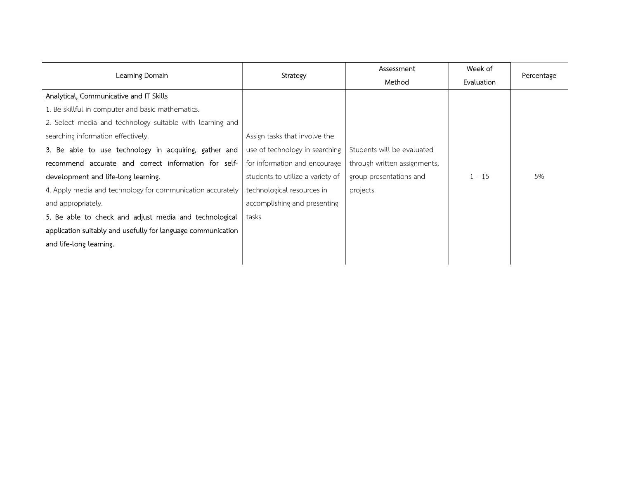|                                                              |                                  | Assessment                   | Week of    |            |
|--------------------------------------------------------------|----------------------------------|------------------------------|------------|------------|
| Learning Domain                                              | <b>Strategy</b>                  | Method                       | Evaluation | Percentage |
| Analytical, Communicative and IT Skills                      |                                  |                              |            |            |
| 1. Be skillful in computer and basic mathematics.            |                                  |                              |            |            |
| 2. Select media and technology suitable with learning and    |                                  |                              |            |            |
| searching information effectively.                           | Assign tasks that involve the    |                              |            |            |
| 3. Be able to use technology in acquiring, gather and        | use of technology in searching   | Students will be evaluated   |            |            |
| recommend accurate and correct information for self-         | for information and encourage    | through written assignments, |            |            |
| development and life-long learning.                          | students to utilize a variety of | group presentations and      | $1 - 15$   | 5%         |
| 4. Apply media and technology for communication accurately   | technological resources in       | projects                     |            |            |
| and appropriately.                                           | accomplishing and presenting     |                              |            |            |
| 5. Be able to check and adjust media and technological       | tasks                            |                              |            |            |
| application suitably and usefully for language communication |                                  |                              |            |            |
| and life-long learning.                                      |                                  |                              |            |            |
|                                                              |                                  |                              |            |            |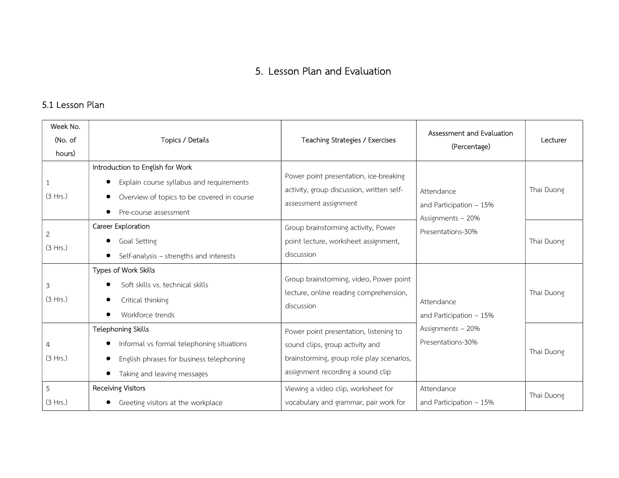# 5. Lesson Plan and Evaluation

## 5.1 Lesson Plan

| Week No.<br>(No. of<br>hours) | Topics / Details                                                                                                                                                              | Teaching Strategies / Exercises                                                                                                                             | Assessment and Evaluation<br>(Percentage)                                        | Lecturer   |            |
|-------------------------------|-------------------------------------------------------------------------------------------------------------------------------------------------------------------------------|-------------------------------------------------------------------------------------------------------------------------------------------------------------|----------------------------------------------------------------------------------|------------|------------|
| (3 Hrs.)                      | Introduction to English for Work<br>Explain course syllabus and requirements<br>$\bullet$<br>Overview of topics to be covered in course<br>$\bullet$<br>Pre-course assessment | Power point presentation, ice-breaking<br>activity, group discussion, written self-<br>assessment assignment                                                | Attendance<br>and Participation $-15%$<br>Assignments - 20%<br>Presentations-30% |            | Thai Duong |
| $\mathbf{2}$<br>(3 Hrs.)      | Career Exploration<br>Goal Setting<br>$\bullet$<br>Self-analysis - strengths and interests                                                                                    | Group brainstorming activity, Power<br>point lecture, worksheet assignment,<br>discussion                                                                   |                                                                                  | Thai Duong |            |
| 3<br>(3 Hrs.)                 | Types of Work Skills<br>Soft skills vs. technical skills<br>Critical thinking<br>$\bullet$<br>Workforce trends                                                                | Group brainstorming, video, Power point<br>lecture, online reading comprehension,<br>discussion                                                             | Attendance<br>and Participation $-15%$                                           | Thai Duong |            |
| 4<br>(3 Hrs.)                 | <b>Telephoning Skills</b><br>Informal vs formal telephoning situations<br>English phrases for business telephoning<br>Taking and leaving messages                             | Power point presentation, listening to<br>sound clips, group activity and<br>brainstorming, group role play scenarios,<br>assignment recording a sound clip | Assignments - 20%<br>Presentations-30%                                           | Thai Duong |            |
| 5<br>(3 Hrs.)                 | <b>Receiving Visitors</b><br>Greeting visitors at the workplace                                                                                                               | Viewing a video clip, worksheet for<br>vocabulary and grammar, pair work for                                                                                | Attendance<br>and Participation $-15%$                                           | Thai Duong |            |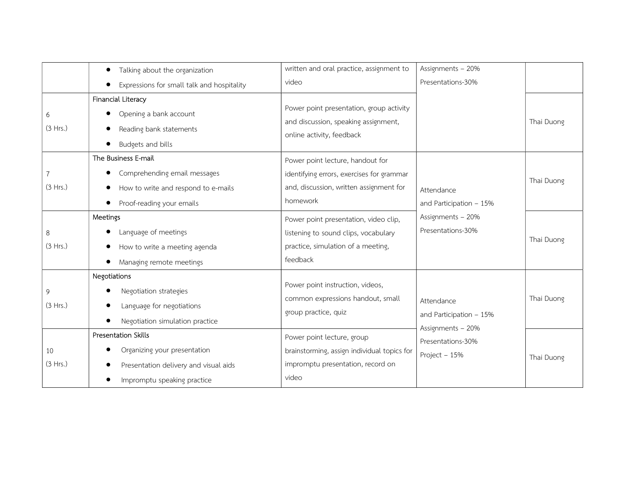|                            | Talking about the organization<br>$\bullet$                                                                                                       | written and oral practice, assignment to                                                                                             | Assignments - 20%                                           |            |
|----------------------------|---------------------------------------------------------------------------------------------------------------------------------------------------|--------------------------------------------------------------------------------------------------------------------------------------|-------------------------------------------------------------|------------|
|                            | Expressions for small talk and hospitality                                                                                                        | video                                                                                                                                | Presentations-30%                                           |            |
| 6<br>(3 Hrs.)              | Financial Literacy<br>Opening a bank account<br>$\bullet$<br>Reading bank statements<br>Budgets and bills                                         | Power point presentation, group activity<br>and discussion, speaking assignment,<br>online activity, feedback                        |                                                             | Thai Duong |
| $\overline{7}$<br>(3 Hrs.) | The Business E-mail<br>Comprehending email messages<br>$\bullet$<br>How to write and respond to e-mails<br>$\bullet$<br>Proof-reading your emails | Power point lecture, handout for<br>identifying errors, exercises for grammar<br>and, discussion, written assignment for<br>homework | Attendance<br>and Participation $-15%$                      | Thai Duong |
| 8<br>(3 Hrs.)              | Meetings<br>Language of meetings<br>How to write a meeting agenda<br>$\bullet$<br>Managing remote meetings                                        | Power point presentation, video clip,<br>listening to sound clips, vocabulary<br>practice, simulation of a meeting,<br>feedback      | Assignments - 20%<br>Presentations-30%                      | Thai Duong |
| 9<br>(3 Hrs.)              | Negotiations<br>Negotiation strategies<br>Language for negotiations<br>Negotiation simulation practice                                            | Power point instruction, videos,<br>common expressions handout, small<br>group practice, quiz                                        | Attendance<br>and Participation $-15%$<br>Assignments - 20% | Thai Duong |
| 10<br>(3 Hrs.)             | Presentation Skills<br>Organizing your presentation<br>Presentation delivery and visual aids<br>Impromptu speaking practice                       | Power point lecture, group<br>brainstorming, assign individual topics for<br>impromptu presentation, record on<br>video              | Presentations-30%<br>Project - 15%                          | Thai Duong |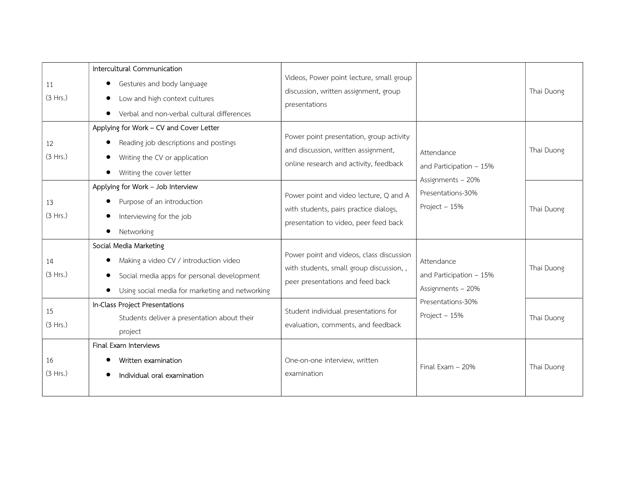| 11<br>(3 Hrs.) | Intercultural Communication<br>Gestures and body language<br>$\bullet$<br>Low and high context cultures<br>$\bullet$<br>Verbal and non-verbal cultural differences             | Videos, Power point lecture, small group<br>discussion, written assignment, group<br>presentations                        |                                                             | Thai Duong |
|----------------|--------------------------------------------------------------------------------------------------------------------------------------------------------------------------------|---------------------------------------------------------------------------------------------------------------------------|-------------------------------------------------------------|------------|
| 12<br>(3 Hrs.) | Applying for Work - CV and Cover Letter<br>Reading job descriptions and postings<br>Writing the CV or application<br>$\bullet$<br>Writing the cover letter                     | Power point presentation, group activity<br>and discussion, written assignment,<br>online research and activity, feedback | Attendance<br>and Participation $-15%$<br>Assignments - 20% | Thai Duong |
| 13<br>(3 Hrs.) | Applying for Work - Job Interview<br>Purpose of an introduction<br>$\bullet$<br>Interviewing for the job<br>$\bullet$<br>Networking                                            | Power point and video lecture, Q and A<br>with students, pairs practice dialogs,<br>presentation to video, peer feed back | Presentations-30%<br>Project - 15%                          | Thai Duong |
| 14<br>(3 Hrs.) | Social Media Marketing<br>Making a video CV / introduction video<br>Social media apps for personal development<br>$\bullet$<br>Using social media for marketing and networking | Power point and videos, class discussion<br>with students, small group discussion,,<br>peer presentations and feed back   | Attendance<br>and Participation $-15%$<br>Assignments - 20% | Thai Duong |
| 15<br>(3 Hrs.) | In-Class Project Presentations<br>Students deliver a presentation about their<br>project                                                                                       | Student individual presentations for<br>evaluation, comments, and feedback                                                | Presentations-30%<br>Project - 15%                          | Thai Duong |
| 16<br>(3 Hrs.) | Final Exam Interviews<br>Written examination<br>Individual oral examination                                                                                                    | One-on-one interview, written<br>examination                                                                              | Final Exam - 20%                                            | Thai Duong |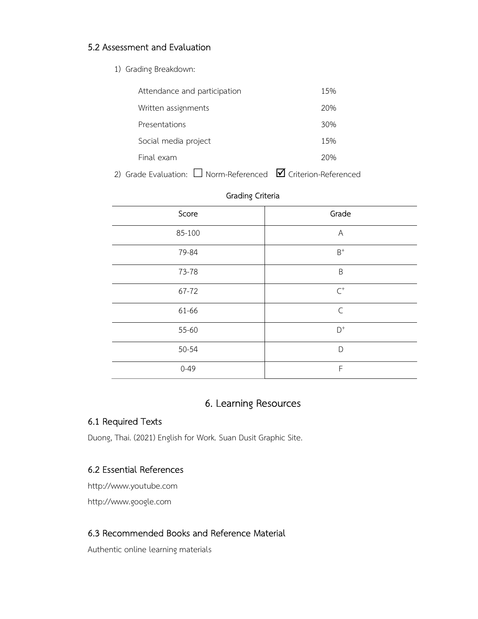## 5.2 Assessment and Evaluation

1) Grading Breakdown:

| Attendance and participation | 15% |
|------------------------------|-----|
| Written assignments          | 20% |
| Presentations                | 30% |
| Social media project         | 15% |
| Final exam                   | 20% |
|                              |     |

2) Grade Evaluation:  $\Box$  Norm-Referenced  $\Box$  Criterion-Referenced

| Score    | Grade          |
|----------|----------------|
| 85-100   | Α              |
| 79-84    | $\mathsf{B}^+$ |
| 73-78    | B              |
| 67-72    | $\mathsf{C}^+$ |
| 61-66    | $\mathsf{C}$   |
| 55-60    | $\mathsf{D}^+$ |
| 50-54    | D              |
| $0 - 49$ | F              |

#### Grading Criteria

# 6. Learning Resources

#### 6.1 Required Texts

Duong, Thai. (2021) English for Work. Suan Dusit Graphic Site.

## 6.2 Essential References

http://www.youtube.com http://www.google.com

# 6.3 Recommended Books and Reference Material

Authentic online learning materials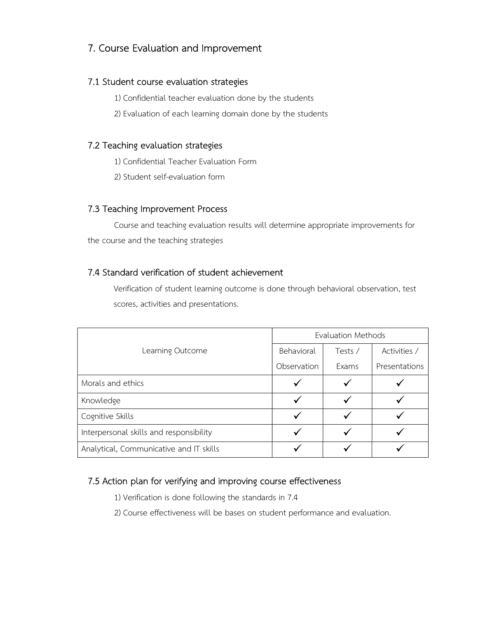# 7. Course Evaluation and Improvement

#### 7.1 Student course evaluation strategies

1) Confidential teacher evaluation done by the students

2) Evaluation of each learning domain done by the students

#### 7.2 Teaching evaluation strategies

1) Confidential Teacher Evaluation Form

2) Student self-evaluation form

#### 7.3 Teaching Improvement Process

Course and teaching evaluation results will determine appropriate improvements for the course and the teaching strategies

## 7.4 Standard verification of student achievement

Verification of student learning outcome is done through behavioral observation, test scores, activities and presentations.

|                                         | Evaluation Methods |         |               |  |
|-----------------------------------------|--------------------|---------|---------------|--|
| Learning Outcome                        | Behavioral         | Tests / | Activities /  |  |
|                                         | Observation        | Exams   | Presentations |  |
| Morals and ethics                       |                    |         |               |  |
| Knowledge                               | √                  |         |               |  |
| Cognitive Skills                        |                    |         |               |  |
| Interpersonal skills and responsibility |                    |         |               |  |
| Analytical, Communicative and IT skills |                    |         |               |  |

## 7.5 Action plan for verifying and improving course effectiveness

1) Verification is done following the standards in 7.4

2) Course effectiveness will be bases on student performance and evaluation.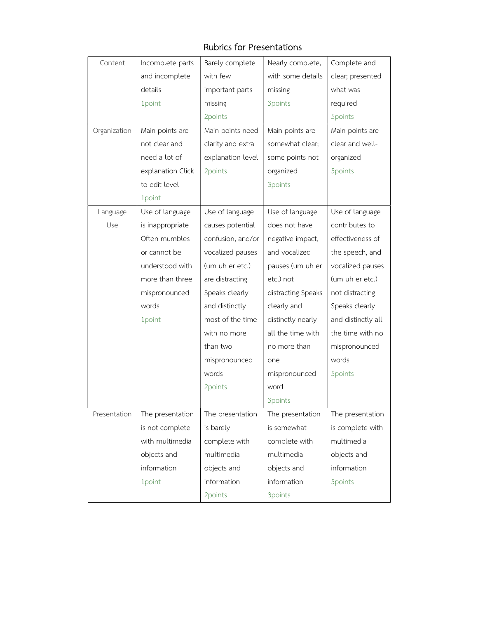# Rubrics for Presentations

| Content      | Incomplete parts  | Barely complete   | Nearly complete,   | Complete and       |
|--------------|-------------------|-------------------|--------------------|--------------------|
|              | and incomplete    | with few          | with some details  | clear; presented   |
|              | details           | important parts   | missing            | what was           |
|              | 1point            | missing           | 3points            | required           |
|              |                   | 2points           |                    | 5points            |
| Organization | Main points are   | Main points need  | Main points are    | Main points are    |
|              | not clear and     | clarity and extra | somewhat clear;    | clear and well-    |
|              | need a lot of     | explanation level | some points not    | organized          |
|              | explanation Click | 2points           | organized          | 5points            |
|              | to edit level     |                   | 3points            |                    |
|              | 1point            |                   |                    |                    |
| Language     | Use of language   | Use of language   | Use of language    | Use of language    |
| Use          | is inappropriate  | causes potential  | does not have      | contributes to     |
|              | Often mumbles     | confusion, and/or | negative impact,   | effectiveness of   |
|              | or cannot be      | vocalized pauses  | and vocalized      | the speech, and    |
|              | understood with   | (um uh er etc.)   | pauses (um uh er   | vocalized pauses   |
|              | more than three   | are distracting   | etc.) not          | (um uh er etc.)    |
|              | mispronounced     | Speaks clearly    | distracting Speaks | not distracting    |
|              | words             | and distinctly    | clearly and        | Speaks clearly     |
|              | 1point            | most of the time  | distinctly nearly  | and distinctly all |
|              |                   | with no more      | all the time with  | the time with no   |
|              |                   | than two          | no more than       | mispronounced      |
|              |                   | mispronounced     | one                | words              |
|              |                   | words             | mispronounced      | 5points            |
|              |                   | 2points           | word               |                    |
|              |                   |                   | 3points            |                    |
| Presentation | The presentation  | The presentation  | The presentation   | The presentation   |
|              | is not complete   | is barely         | is somewhat        | is complete with   |
|              | with multimedia   | complete with     | complete with      | multimedia         |
|              | objects and       | multimedia        | multimedia         | objects and        |
|              | information       | objects and       | objects and        | information        |
|              | 1point            | information       | information        | 5points            |
|              |                   | 2points           | 3points            |                    |